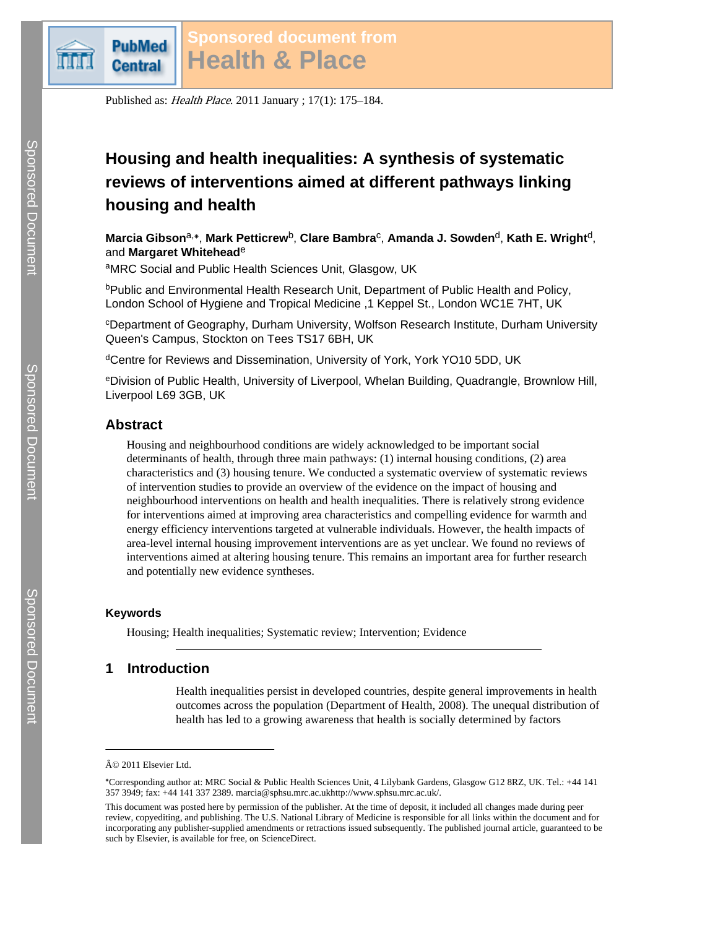

Published as: Health Place. 2011 January ; 17(1): 175–184.

# **Housing and health inequalities: A synthesis of systematic reviews of interventions aimed at different pathways linking housing and health**

**Marcia Gibson** $^{a,*}$ **, Mark Petticrew** $^{b}$ **, Clare Bambra** $^{c}$ **, Amanda J. Sowden** $^{d}$ **, Kath E. Wright** $^{d}$ **,** and **Margaret Whitehead**<sup>e</sup>

aMRC Social and Public Health Sciences Unit, Glasgow, UK

bPublic and Environmental Health Research Unit, Department of Public Health and Policy, London School of Hygiene and Tropical Medicine ,1 Keppel St., London WC1E 7HT, UK

<sup>c</sup>Department of Geography, Durham University, Wolfson Research Institute, Durham University Queen's Campus, Stockton on Tees TS17 6BH, UK

dCentre for Reviews and Dissemination, University of York, York YO10 5DD, UK

<sup>e</sup>Division of Public Health, University of Liverpool, Whelan Building, Quadrangle, Brownlow Hill, Liverpool L69 3GB, UK

# **Abstract**

Housing and neighbourhood conditions are widely acknowledged to be important social determinants of health, through three main pathways: (1) internal housing conditions, (2) area characteristics and (3) housing tenure. We conducted a systematic overview of systematic reviews of intervention studies to provide an overview of the evidence on the impact of housing and neighbourhood interventions on health and health inequalities. There is relatively strong evidence for interventions aimed at improving area characteristics and compelling evidence for warmth and energy efficiency interventions targeted at vulnerable individuals. However, the health impacts of area-level internal housing improvement interventions are as yet unclear. We found no reviews of interventions aimed at altering housing tenure. This remains an important area for further research and potentially new evidence syntheses.

## **Keywords**

Housing; Health inequalities; Systematic review; Intervention; Evidence

# **1 Introduction**

Health inequalities persist in developed countries, despite general improvements in health outcomes across the population (Department of Health, 2008). The unequal distribution of health has led to a growing awareness that health is socially determined by factors

<sup>© 2011</sup> Elsevier Ltd.

<sup>⁎</sup>Corresponding author at: MRC Social & Public Health Sciences Unit, 4 Lilybank Gardens, Glasgow G12 8RZ, UK. Tel.: +44 141 357 3949; fax: +44 141 337 2389. marcia@sphsu.mrc.ac.ukhttp://www.sphsu.mrc.ac.uk/.

This document was posted here by permission of the publisher. At the time of deposit, it included all changes made during peer review, copyediting, and publishing. The U.S. National Library of Medicine is responsible for all links within the document and for incorporating any publisher-supplied amendments or retractions issued subsequently. The published journal article, guaranteed to be such by Elsevier, is available for free, on ScienceDirect.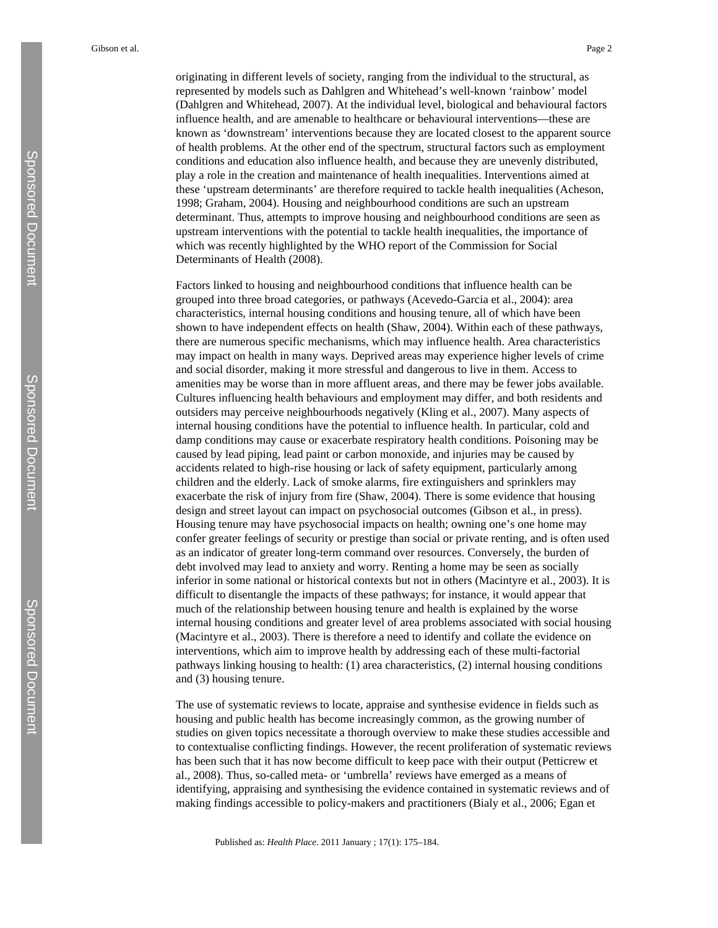originating in different levels of society, ranging from the individual to the structural, as represented by models such as Dahlgren and Whitehead's well-known 'rainbow' model (Dahlgren and Whitehead, 2007). At the individual level, biological and behavioural factors influence health, and are amenable to healthcare or behavioural interventions—these are known as 'downstream' interventions because they are located closest to the apparent source of health problems. At the other end of the spectrum, structural factors such as employment conditions and education also influence health, and because they are unevenly distributed, play a role in the creation and maintenance of health inequalities. Interventions aimed at these 'upstream determinants' are therefore required to tackle health inequalities (Acheson, 1998; Graham, 2004). Housing and neighbourhood conditions are such an upstream determinant. Thus, attempts to improve housing and neighbourhood conditions are seen as upstream interventions with the potential to tackle health inequalities, the importance of which was recently highlighted by the WHO report of the Commission for Social Determinants of Health (2008).

Factors linked to housing and neighbourhood conditions that influence health can be grouped into three broad categories, or pathways (Acevedo-Garcia et al., 2004): area characteristics, internal housing conditions and housing tenure, all of which have been shown to have independent effects on health (Shaw, 2004). Within each of these pathways, there are numerous specific mechanisms, which may influence health. Area characteristics may impact on health in many ways. Deprived areas may experience higher levels of crime and social disorder, making it more stressful and dangerous to live in them. Access to amenities may be worse than in more affluent areas, and there may be fewer jobs available. Cultures influencing health behaviours and employment may differ, and both residents and outsiders may perceive neighbourhoods negatively (Kling et al., 2007). Many aspects of internal housing conditions have the potential to influence health. In particular, cold and damp conditions may cause or exacerbate respiratory health conditions. Poisoning may be caused by lead piping, lead paint or carbon monoxide, and injuries may be caused by accidents related to high-rise housing or lack of safety equipment, particularly among children and the elderly. Lack of smoke alarms, fire extinguishers and sprinklers may exacerbate the risk of injury from fire (Shaw, 2004). There is some evidence that housing design and street layout can impact on psychosocial outcomes (Gibson et al., in press). Housing tenure may have psychosocial impacts on health; owning one's one home may confer greater feelings of security or prestige than social or private renting, and is often used as an indicator of greater long-term command over resources. Conversely, the burden of debt involved may lead to anxiety and worry. Renting a home may be seen as socially inferior in some national or historical contexts but not in others (Macintyre et al., 2003). It is difficult to disentangle the impacts of these pathways; for instance, it would appear that much of the relationship between housing tenure and health is explained by the worse internal housing conditions and greater level of area problems associated with social housing (Macintyre et al., 2003). There is therefore a need to identify and collate the evidence on interventions, which aim to improve health by addressing each of these multi-factorial pathways linking housing to health: (1) area characteristics, (2) internal housing conditions and (3) housing tenure.

The use of systematic reviews to locate, appraise and synthesise evidence in fields such as housing and public health has become increasingly common, as the growing number of studies on given topics necessitate a thorough overview to make these studies accessible and to contextualise conflicting findings. However, the recent proliferation of systematic reviews has been such that it has now become difficult to keep pace with their output (Petticrew et al., 2008). Thus, so-called meta- or 'umbrella' reviews have emerged as a means of identifying, appraising and synthesising the evidence contained in systematic reviews and of making findings accessible to policy-makers and practitioners (Bialy et al., 2006; Egan et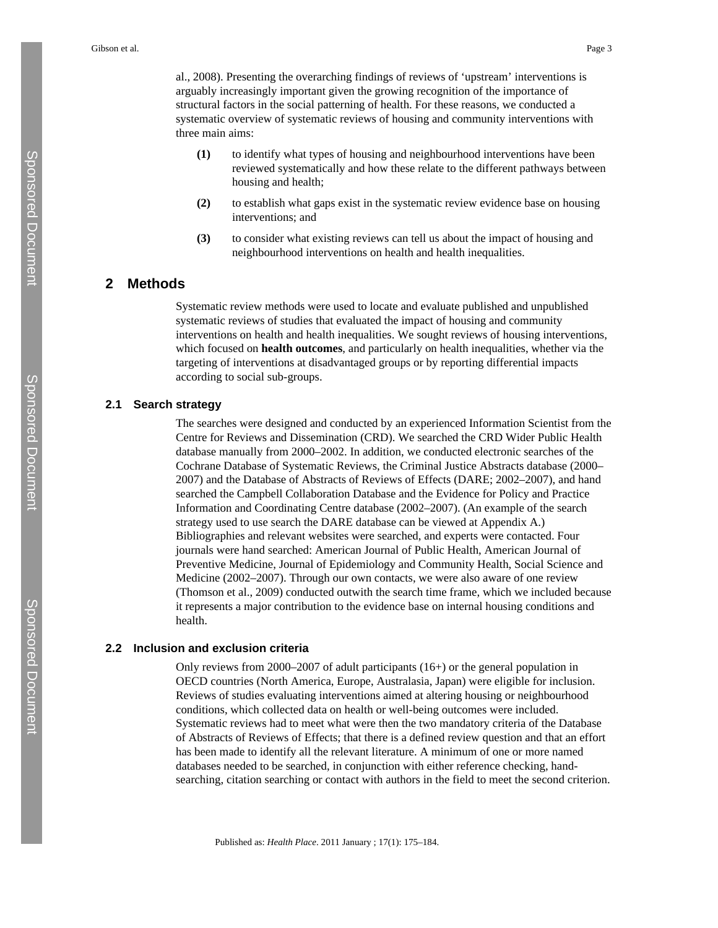al., 2008). Presenting the overarching findings of reviews of 'upstream' interventions is arguably increasingly important given the growing recognition of the importance of structural factors in the social patterning of health. For these reasons, we conducted a systematic overview of systematic reviews of housing and community interventions with three main aims:

- **(1)** to identify what types of housing and neighbourhood interventions have been reviewed systematically and how these relate to the different pathways between housing and health;
- **(2)** to establish what gaps exist in the systematic review evidence base on housing interventions; and
- **(3)** to consider what existing reviews can tell us about the impact of housing and neighbourhood interventions on health and health inequalities.

# **2 Methods**

Systematic review methods were used to locate and evaluate published and unpublished systematic reviews of studies that evaluated the impact of housing and community interventions on health and health inequalities. We sought reviews of housing interventions, which focused on **health outcomes**, and particularly on health inequalities, whether via the targeting of interventions at disadvantaged groups or by reporting differential impacts according to social sub-groups.

## **2.1 Search strategy**

The searches were designed and conducted by an experienced Information Scientist from the Centre for Reviews and Dissemination (CRD). We searched the CRD Wider Public Health database manually from 2000–2002. In addition, we conducted electronic searches of the Cochrane Database of Systematic Reviews, the Criminal Justice Abstracts database (2000– 2007) and the Database of Abstracts of Reviews of Effects (DARE; 2002–2007), and hand searched the Campbell Collaboration Database and the Evidence for Policy and Practice Information and Coordinating Centre database (2002–2007). (An example of the search strategy used to use search the DARE database can be viewed at Appendix A.) Bibliographies and relevant websites were searched, and experts were contacted. Four journals were hand searched: American Journal of Public Health, American Journal of Preventive Medicine, Journal of Epidemiology and Community Health, Social Science and Medicine (2002–2007). Through our own contacts, we were also aware of one review (Thomson et al., 2009) conducted outwith the search time frame, which we included because it represents a major contribution to the evidence base on internal housing conditions and health.

#### **2.2 Inclusion and exclusion criteria**

Only reviews from 2000–2007 of adult participants (16+) or the general population in OECD countries (North America, Europe, Australasia, Japan) were eligible for inclusion. Reviews of studies evaluating interventions aimed at altering housing or neighbourhood conditions, which collected data on health or well-being outcomes were included. Systematic reviews had to meet what were then the two mandatory criteria of the Database of Abstracts of Reviews of Effects; that there is a defined review question and that an effort has been made to identify all the relevant literature. A minimum of one or more named databases needed to be searched, in conjunction with either reference checking, handsearching, citation searching or contact with authors in the field to meet the second criterion.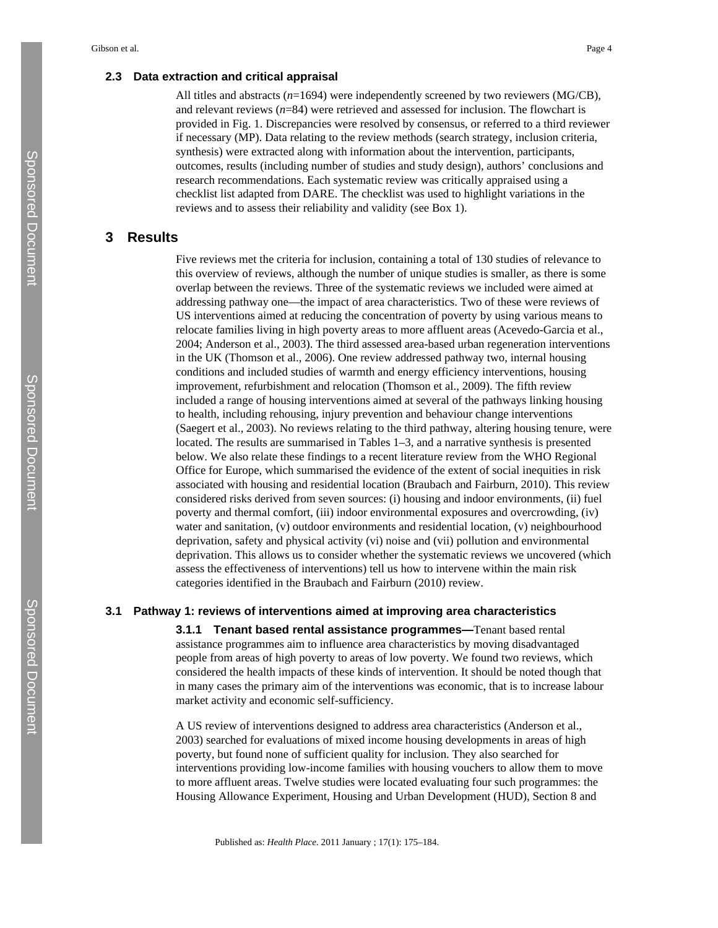All titles and abstracts (*n*=1694) were independently screened by two reviewers (MG/CB), and relevant reviews (*n*=84) were retrieved and assessed for inclusion. The flowchart is provided in Fig. 1. Discrepancies were resolved by consensus, or referred to a third reviewer if necessary (MP). Data relating to the review methods (search strategy, inclusion criteria, synthesis) were extracted along with information about the intervention, participants, outcomes, results (including number of studies and study design), authors' conclusions and research recommendations. Each systematic review was critically appraised using a checklist list adapted from DARE. The checklist was used to highlight variations in the reviews and to assess their reliability and validity (see Box 1).

## **3 Results**

Five reviews met the criteria for inclusion, containing a total of 130 studies of relevance to this overview of reviews, although the number of unique studies is smaller, as there is some overlap between the reviews. Three of the systematic reviews we included were aimed at addressing pathway one—the impact of area characteristics. Two of these were reviews of US interventions aimed at reducing the concentration of poverty by using various means to relocate families living in high poverty areas to more affluent areas (Acevedo-Garcia et al., 2004; Anderson et al., 2003). The third assessed area-based urban regeneration interventions in the UK (Thomson et al., 2006). One review addressed pathway two, internal housing conditions and included studies of warmth and energy efficiency interventions, housing improvement, refurbishment and relocation (Thomson et al., 2009). The fifth review included a range of housing interventions aimed at several of the pathways linking housing to health, including rehousing, injury prevention and behaviour change interventions (Saegert et al., 2003). No reviews relating to the third pathway, altering housing tenure, were located. The results are summarised in Tables 1–3, and a narrative synthesis is presented below. We also relate these findings to a recent literature review from the WHO Regional Office for Europe, which summarised the evidence of the extent of social inequities in risk associated with housing and residential location (Braubach and Fairburn, 2010). This review considered risks derived from seven sources: (i) housing and indoor environments, (ii) fuel poverty and thermal comfort, (iii) indoor environmental exposures and overcrowding, (iv) water and sanitation, (v) outdoor environments and residential location, (v) neighbourhood deprivation, safety and physical activity (vi) noise and (vii) pollution and environmental deprivation. This allows us to consider whether the systematic reviews we uncovered (which assess the effectiveness of interventions) tell us how to intervene within the main risk categories identified in the Braubach and Fairburn (2010) review.

#### **3.1 Pathway 1: reviews of interventions aimed at improving area characteristics**

**3.1.1 Tenant based rental assistance programmes—**Tenant based rental assistance programmes aim to influence area characteristics by moving disadvantaged people from areas of high poverty to areas of low poverty. We found two reviews, which considered the health impacts of these kinds of intervention. It should be noted though that in many cases the primary aim of the interventions was economic, that is to increase labour market activity and economic self-sufficiency.

A US review of interventions designed to address area characteristics (Anderson et al., 2003) searched for evaluations of mixed income housing developments in areas of high poverty, but found none of sufficient quality for inclusion. They also searched for interventions providing low-income families with housing vouchers to allow them to move to more affluent areas. Twelve studies were located evaluating four such programmes: the Housing Allowance Experiment, Housing and Urban Development (HUD), Section 8 and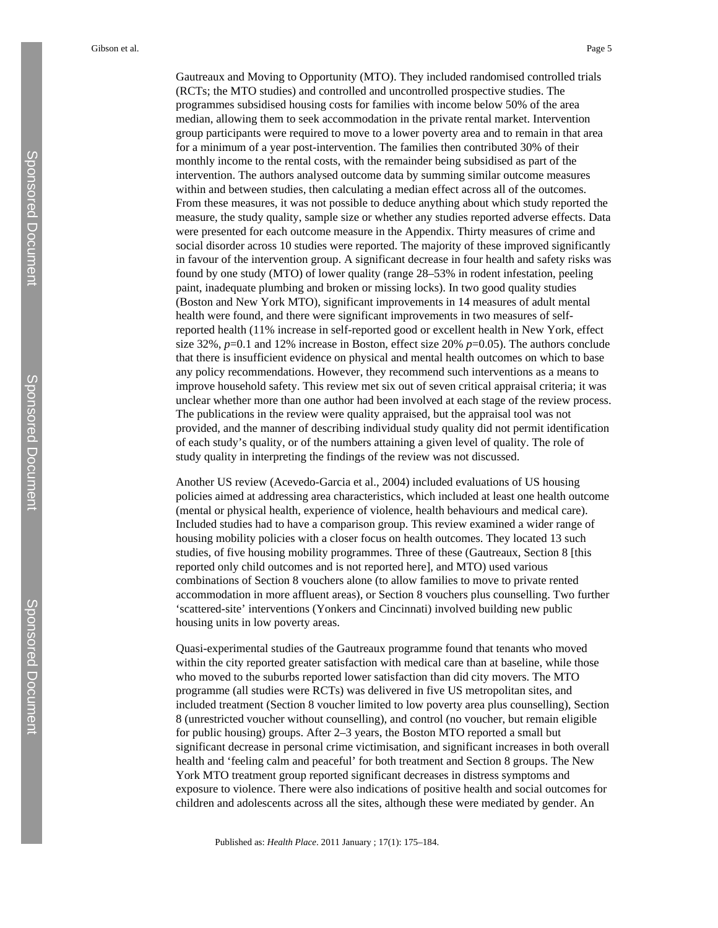Gautreaux and Moving to Opportunity (MTO). They included randomised controlled trials (RCTs; the MTO studies) and controlled and uncontrolled prospective studies. The programmes subsidised housing costs for families with income below 50% of the area median, allowing them to seek accommodation in the private rental market. Intervention group participants were required to move to a lower poverty area and to remain in that area for a minimum of a year post-intervention. The families then contributed 30% of their monthly income to the rental costs, with the remainder being subsidised as part of the intervention. The authors analysed outcome data by summing similar outcome measures within and between studies, then calculating a median effect across all of the outcomes. From these measures, it was not possible to deduce anything about which study reported the measure, the study quality, sample size or whether any studies reported adverse effects. Data were presented for each outcome measure in the Appendix. Thirty measures of crime and social disorder across 10 studies were reported. The majority of these improved significantly in favour of the intervention group. A significant decrease in four health and safety risks was found by one study (MTO) of lower quality (range 28–53% in rodent infestation, peeling paint, inadequate plumbing and broken or missing locks). In two good quality studies (Boston and New York MTO), significant improvements in 14 measures of adult mental health were found, and there were significant improvements in two measures of selfreported health (11% increase in self-reported good or excellent health in New York, effect size 32%, *p*=0.1 and 12% increase in Boston, effect size 20% *p*=0.05). The authors conclude that there is insufficient evidence on physical and mental health outcomes on which to base any policy recommendations. However, they recommend such interventions as a means to improve household safety. This review met six out of seven critical appraisal criteria; it was unclear whether more than one author had been involved at each stage of the review process. The publications in the review were quality appraised, but the appraisal tool was not provided, and the manner of describing individual study quality did not permit identification of each study's quality, or of the numbers attaining a given level of quality. The role of study quality in interpreting the findings of the review was not discussed.

Another US review (Acevedo-Garcia et al., 2004) included evaluations of US housing policies aimed at addressing area characteristics, which included at least one health outcome (mental or physical health, experience of violence, health behaviours and medical care). Included studies had to have a comparison group. This review examined a wider range of housing mobility policies with a closer focus on health outcomes. They located 13 such studies, of five housing mobility programmes. Three of these (Gautreaux, Section 8 [this reported only child outcomes and is not reported here], and MTO) used various combinations of Section 8 vouchers alone (to allow families to move to private rented accommodation in more affluent areas), or Section 8 vouchers plus counselling. Two further 'scattered-site' interventions (Yonkers and Cincinnati) involved building new public housing units in low poverty areas.

Quasi-experimental studies of the Gautreaux programme found that tenants who moved within the city reported greater satisfaction with medical care than at baseline, while those who moved to the suburbs reported lower satisfaction than did city movers. The MTO programme (all studies were RCTs) was delivered in five US metropolitan sites, and included treatment (Section 8 voucher limited to low poverty area plus counselling), Section 8 (unrestricted voucher without counselling), and control (no voucher, but remain eligible for public housing) groups. After 2–3 years, the Boston MTO reported a small but significant decrease in personal crime victimisation, and significant increases in both overall health and 'feeling calm and peaceful' for both treatment and Section 8 groups. The New York MTO treatment group reported significant decreases in distress symptoms and exposure to violence. There were also indications of positive health and social outcomes for children and adolescents across all the sites, although these were mediated by gender. An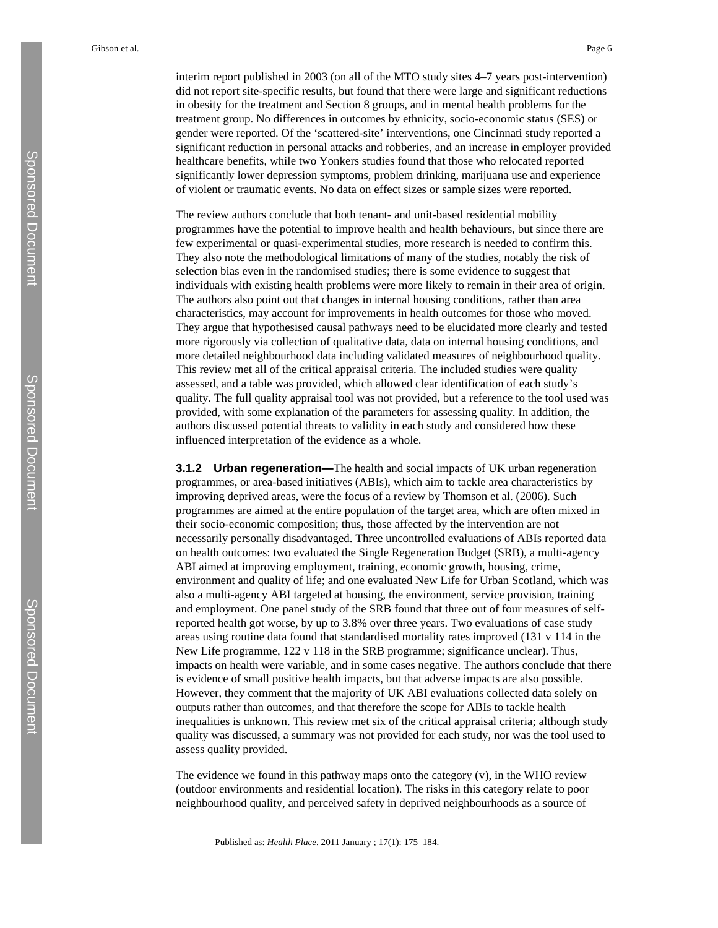interim report published in 2003 (on all of the MTO study sites 4–7 years post-intervention) did not report site-specific results, but found that there were large and significant reductions in obesity for the treatment and Section 8 groups, and in mental health problems for the treatment group. No differences in outcomes by ethnicity, socio-economic status (SES) or gender were reported. Of the 'scattered-site' interventions, one Cincinnati study reported a significant reduction in personal attacks and robberies, and an increase in employer provided healthcare benefits, while two Yonkers studies found that those who relocated reported significantly lower depression symptoms, problem drinking, marijuana use and experience of violent or traumatic events. No data on effect sizes or sample sizes were reported.

The review authors conclude that both tenant- and unit-based residential mobility programmes have the potential to improve health and health behaviours, but since there are few experimental or quasi-experimental studies, more research is needed to confirm this. They also note the methodological limitations of many of the studies, notably the risk of selection bias even in the randomised studies; there is some evidence to suggest that individuals with existing health problems were more likely to remain in their area of origin. The authors also point out that changes in internal housing conditions, rather than area characteristics, may account for improvements in health outcomes for those who moved. They argue that hypothesised causal pathways need to be elucidated more clearly and tested more rigorously via collection of qualitative data, data on internal housing conditions, and more detailed neighbourhood data including validated measures of neighbourhood quality. This review met all of the critical appraisal criteria. The included studies were quality assessed, and a table was provided, which allowed clear identification of each study's quality. The full quality appraisal tool was not provided, but a reference to the tool used was provided, with some explanation of the parameters for assessing quality. In addition, the authors discussed potential threats to validity in each study and considered how these influenced interpretation of the evidence as a whole.

**3.1.2 Urban regeneration—**The health and social impacts of UK urban regeneration programmes, or area-based initiatives (ABIs), which aim to tackle area characteristics by improving deprived areas, were the focus of a review by Thomson et al. (2006). Such programmes are aimed at the entire population of the target area, which are often mixed in their socio-economic composition; thus, those affected by the intervention are not necessarily personally disadvantaged. Three uncontrolled evaluations of ABIs reported data on health outcomes: two evaluated the Single Regeneration Budget (SRB), a multi-agency ABI aimed at improving employment, training, economic growth, housing, crime, environment and quality of life; and one evaluated New Life for Urban Scotland, which was also a multi-agency ABI targeted at housing, the environment, service provision, training and employment. One panel study of the SRB found that three out of four measures of selfreported health got worse, by up to 3.8% over three years. Two evaluations of case study areas using routine data found that standardised mortality rates improved (131 v 114 in the New Life programme, 122 v 118 in the SRB programme; significance unclear). Thus, impacts on health were variable, and in some cases negative. The authors conclude that there is evidence of small positive health impacts, but that adverse impacts are also possible. However, they comment that the majority of UK ABI evaluations collected data solely on outputs rather than outcomes, and that therefore the scope for ABIs to tackle health inequalities is unknown. This review met six of the critical appraisal criteria; although study quality was discussed, a summary was not provided for each study, nor was the tool used to assess quality provided.

The evidence we found in this pathway maps onto the category  $(v)$ , in the WHO review (outdoor environments and residential location). The risks in this category relate to poor neighbourhood quality, and perceived safety in deprived neighbourhoods as a source of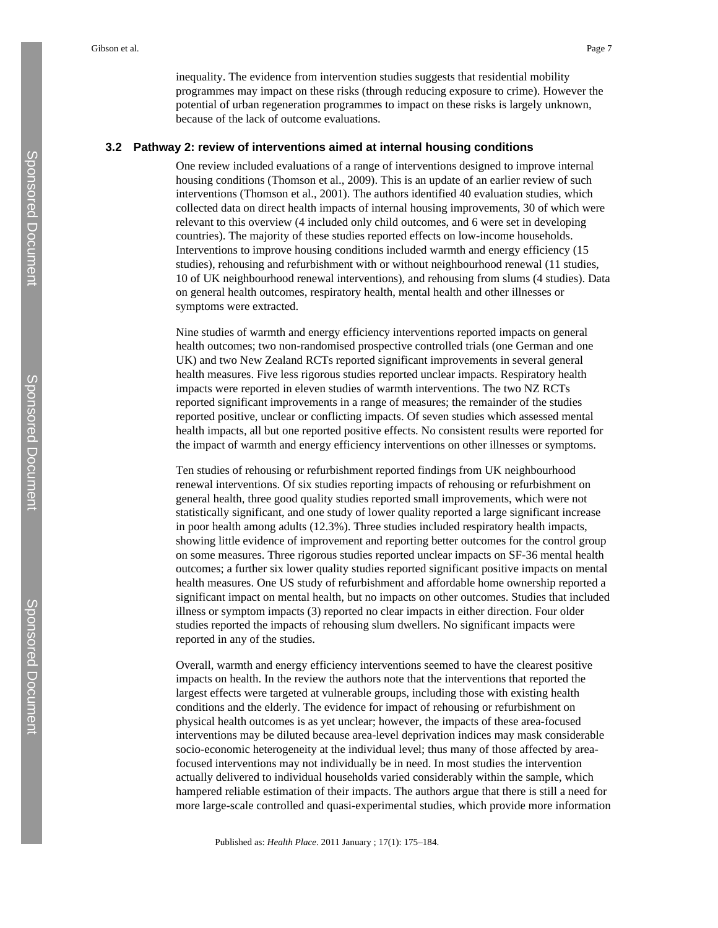inequality. The evidence from intervention studies suggests that residential mobility programmes may impact on these risks (through reducing exposure to crime). However the potential of urban regeneration programmes to impact on these risks is largely unknown, because of the lack of outcome evaluations.

#### **3.2 Pathway 2: review of interventions aimed at internal housing conditions**

One review included evaluations of a range of interventions designed to improve internal housing conditions (Thomson et al., 2009). This is an update of an earlier review of such interventions (Thomson et al., 2001). The authors identified 40 evaluation studies, which collected data on direct health impacts of internal housing improvements, 30 of which were relevant to this overview (4 included only child outcomes, and 6 were set in developing countries). The majority of these studies reported effects on low-income households. Interventions to improve housing conditions included warmth and energy efficiency (15 studies), rehousing and refurbishment with or without neighbourhood renewal (11 studies, 10 of UK neighbourhood renewal interventions), and rehousing from slums (4 studies). Data on general health outcomes, respiratory health, mental health and other illnesses or symptoms were extracted.

Nine studies of warmth and energy efficiency interventions reported impacts on general health outcomes; two non-randomised prospective controlled trials (one German and one UK) and two New Zealand RCTs reported significant improvements in several general health measures. Five less rigorous studies reported unclear impacts. Respiratory health impacts were reported in eleven studies of warmth interventions. The two NZ RCTs reported significant improvements in a range of measures; the remainder of the studies reported positive, unclear or conflicting impacts. Of seven studies which assessed mental health impacts, all but one reported positive effects. No consistent results were reported for the impact of warmth and energy efficiency interventions on other illnesses or symptoms.

Ten studies of rehousing or refurbishment reported findings from UK neighbourhood renewal interventions. Of six studies reporting impacts of rehousing or refurbishment on general health, three good quality studies reported small improvements, which were not statistically significant, and one study of lower quality reported a large significant increase in poor health among adults (12.3%). Three studies included respiratory health impacts, showing little evidence of improvement and reporting better outcomes for the control group on some measures. Three rigorous studies reported unclear impacts on SF-36 mental health outcomes; a further six lower quality studies reported significant positive impacts on mental health measures. One US study of refurbishment and affordable home ownership reported a significant impact on mental health, but no impacts on other outcomes. Studies that included illness or symptom impacts (3) reported no clear impacts in either direction. Four older studies reported the impacts of rehousing slum dwellers. No significant impacts were reported in any of the studies.

Overall, warmth and energy efficiency interventions seemed to have the clearest positive impacts on health. In the review the authors note that the interventions that reported the largest effects were targeted at vulnerable groups, including those with existing health conditions and the elderly. The evidence for impact of rehousing or refurbishment on physical health outcomes is as yet unclear; however, the impacts of these area-focused interventions may be diluted because area-level deprivation indices may mask considerable socio-economic heterogeneity at the individual level; thus many of those affected by areafocused interventions may not individually be in need. In most studies the intervention actually delivered to individual households varied considerably within the sample, which hampered reliable estimation of their impacts. The authors argue that there is still a need for more large-scale controlled and quasi-experimental studies, which provide more information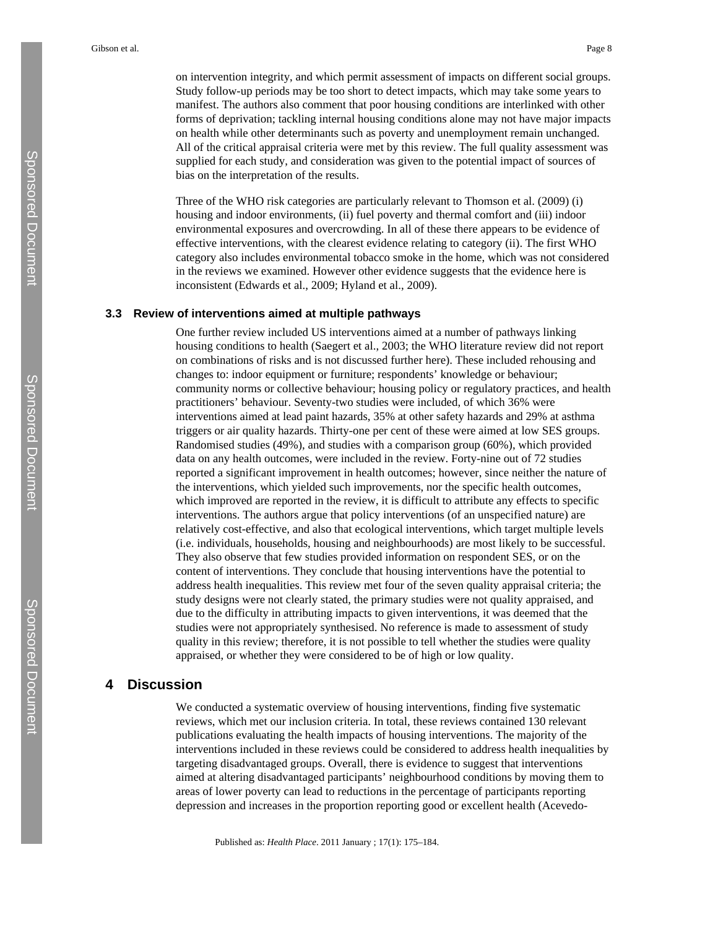on intervention integrity, and which permit assessment of impacts on different social groups. Study follow-up periods may be too short to detect impacts, which may take some years to manifest. The authors also comment that poor housing conditions are interlinked with other forms of deprivation; tackling internal housing conditions alone may not have major impacts on health while other determinants such as poverty and unemployment remain unchanged. All of the critical appraisal criteria were met by this review. The full quality assessment was supplied for each study, and consideration was given to the potential impact of sources of bias on the interpretation of the results.

Three of the WHO risk categories are particularly relevant to Thomson et al. (2009) (i) housing and indoor environments, (ii) fuel poverty and thermal comfort and (iii) indoor environmental exposures and overcrowding. In all of these there appears to be evidence of effective interventions, with the clearest evidence relating to category (ii). The first WHO category also includes environmental tobacco smoke in the home, which was not considered in the reviews we examined. However other evidence suggests that the evidence here is inconsistent (Edwards et al., 2009; Hyland et al., 2009).

#### **3.3 Review of interventions aimed at multiple pathways**

One further review included US interventions aimed at a number of pathways linking housing conditions to health (Saegert et al., 2003; the WHO literature review did not report on combinations of risks and is not discussed further here). These included rehousing and changes to: indoor equipment or furniture; respondents' knowledge or behaviour; community norms or collective behaviour; housing policy or regulatory practices, and health practitioners' behaviour. Seventy-two studies were included, of which 36% were interventions aimed at lead paint hazards, 35% at other safety hazards and 29% at asthma triggers or air quality hazards. Thirty-one per cent of these were aimed at low SES groups. Randomised studies (49%), and studies with a comparison group (60%), which provided data on any health outcomes, were included in the review. Forty-nine out of 72 studies reported a significant improvement in health outcomes; however, since neither the nature of the interventions, which yielded such improvements, nor the specific health outcomes, which improved are reported in the review, it is difficult to attribute any effects to specific interventions. The authors argue that policy interventions (of an unspecified nature) are relatively cost-effective, and also that ecological interventions, which target multiple levels (i.e. individuals, households, housing and neighbourhoods) are most likely to be successful. They also observe that few studies provided information on respondent SES, or on the content of interventions. They conclude that housing interventions have the potential to address health inequalities. This review met four of the seven quality appraisal criteria; the study designs were not clearly stated, the primary studies were not quality appraised, and due to the difficulty in attributing impacts to given interventions, it was deemed that the studies were not appropriately synthesised. No reference is made to assessment of study quality in this review; therefore, it is not possible to tell whether the studies were quality appraised, or whether they were considered to be of high or low quality.

## **4 Discussion**

We conducted a systematic overview of housing interventions, finding five systematic reviews, which met our inclusion criteria. In total, these reviews contained 130 relevant publications evaluating the health impacts of housing interventions. The majority of the interventions included in these reviews could be considered to address health inequalities by targeting disadvantaged groups. Overall, there is evidence to suggest that interventions aimed at altering disadvantaged participants' neighbourhood conditions by moving them to areas of lower poverty can lead to reductions in the percentage of participants reporting depression and increases in the proportion reporting good or excellent health (Acevedo-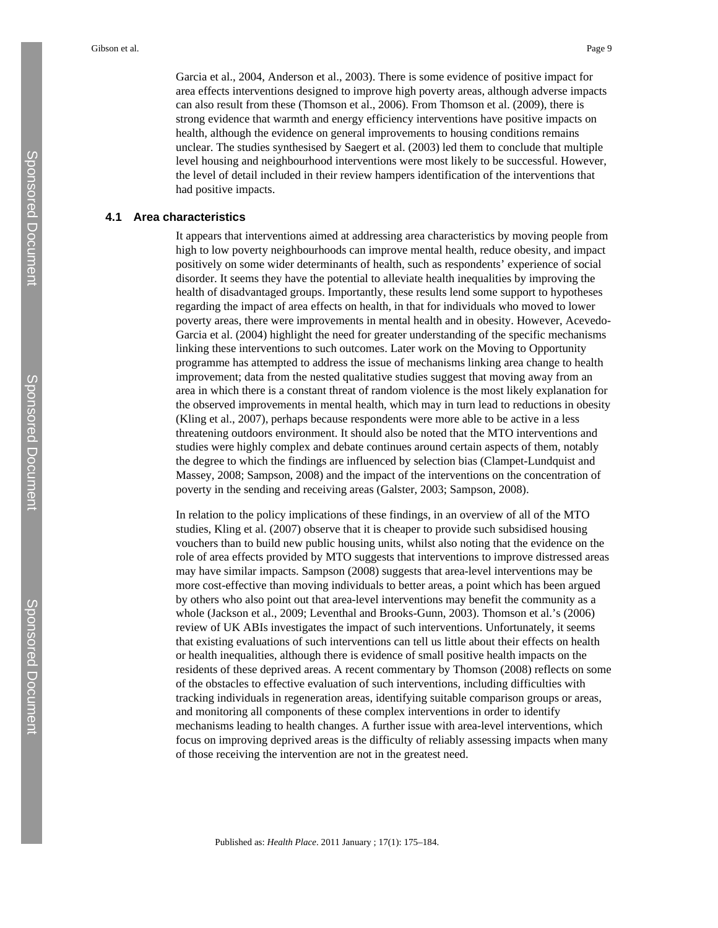Garcia et al., 2004, Anderson et al., 2003). There is some evidence of positive impact for area effects interventions designed to improve high poverty areas, although adverse impacts can also result from these (Thomson et al., 2006). From Thomson et al. (2009), there is strong evidence that warmth and energy efficiency interventions have positive impacts on health, although the evidence on general improvements to housing conditions remains unclear. The studies synthesised by Saegert et al. (2003) led them to conclude that multiple level housing and neighbourhood interventions were most likely to be successful. However, the level of detail included in their review hampers identification of the interventions that had positive impacts.

#### **4.1 Area characteristics**

It appears that interventions aimed at addressing area characteristics by moving people from high to low poverty neighbourhoods can improve mental health, reduce obesity, and impact positively on some wider determinants of health, such as respondents' experience of social disorder. It seems they have the potential to alleviate health inequalities by improving the health of disadvantaged groups. Importantly, these results lend some support to hypotheses regarding the impact of area effects on health, in that for individuals who moved to lower poverty areas, there were improvements in mental health and in obesity. However, Acevedo-Garcia et al. (2004) highlight the need for greater understanding of the specific mechanisms linking these interventions to such outcomes. Later work on the Moving to Opportunity programme has attempted to address the issue of mechanisms linking area change to health improvement; data from the nested qualitative studies suggest that moving away from an area in which there is a constant threat of random violence is the most likely explanation for the observed improvements in mental health, which may in turn lead to reductions in obesity (Kling et al., 2007), perhaps because respondents were more able to be active in a less threatening outdoors environment. It should also be noted that the MTO interventions and studies were highly complex and debate continues around certain aspects of them, notably the degree to which the findings are influenced by selection bias (Clampet-Lundquist and Massey, 2008; Sampson, 2008) and the impact of the interventions on the concentration of poverty in the sending and receiving areas (Galster, 2003; Sampson, 2008).

In relation to the policy implications of these findings, in an overview of all of the MTO studies, Kling et al. (2007) observe that it is cheaper to provide such subsidised housing vouchers than to build new public housing units, whilst also noting that the evidence on the role of area effects provided by MTO suggests that interventions to improve distressed areas may have similar impacts. Sampson (2008) suggests that area-level interventions may be more cost-effective than moving individuals to better areas, a point which has been argued by others who also point out that area-level interventions may benefit the community as a whole (Jackson et al., 2009; Leventhal and Brooks-Gunn, 2003). Thomson et al.'s (2006) review of UK ABIs investigates the impact of such interventions. Unfortunately, it seems that existing evaluations of such interventions can tell us little about their effects on health or health inequalities, although there is evidence of small positive health impacts on the residents of these deprived areas. A recent commentary by Thomson (2008) reflects on some of the obstacles to effective evaluation of such interventions, including difficulties with tracking individuals in regeneration areas, identifying suitable comparison groups or areas, and monitoring all components of these complex interventions in order to identify mechanisms leading to health changes. A further issue with area-level interventions, which focus on improving deprived areas is the difficulty of reliably assessing impacts when many of those receiving the intervention are not in the greatest need.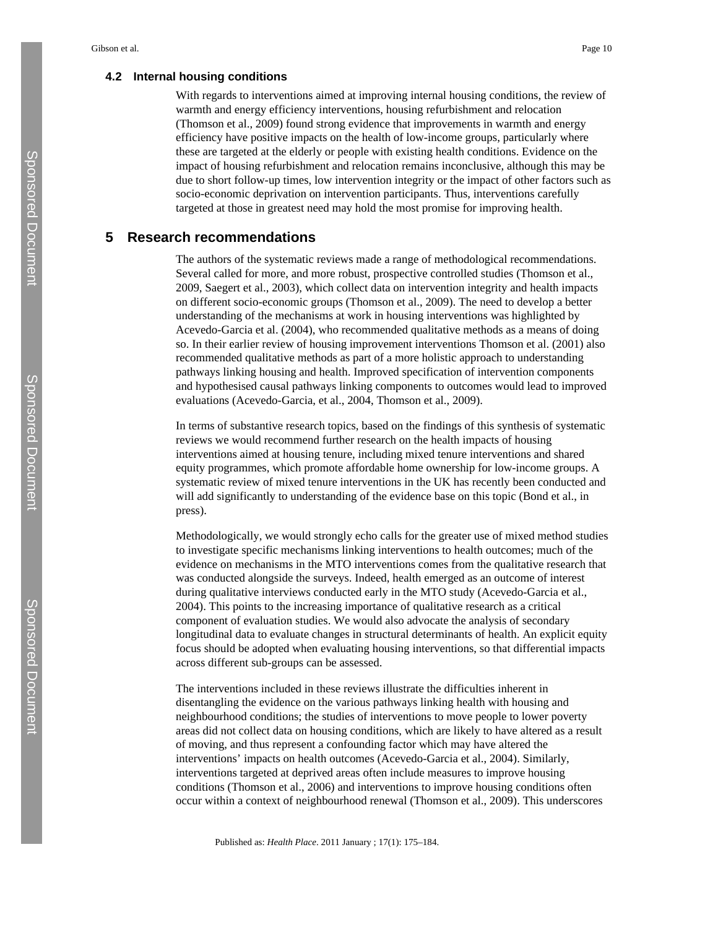#### **4.2 Internal housing conditions**

With regards to interventions aimed at improving internal housing conditions, the review of warmth and energy efficiency interventions, housing refurbishment and relocation (Thomson et al., 2009) found strong evidence that improvements in warmth and energy efficiency have positive impacts on the health of low-income groups, particularly where these are targeted at the elderly or people with existing health conditions. Evidence on the impact of housing refurbishment and relocation remains inconclusive, although this may be due to short follow-up times, low intervention integrity or the impact of other factors such as socio-economic deprivation on intervention participants. Thus, interventions carefully targeted at those in greatest need may hold the most promise for improving health.

## **5 Research recommendations**

The authors of the systematic reviews made a range of methodological recommendations. Several called for more, and more robust, prospective controlled studies (Thomson et al., 2009, Saegert et al., 2003), which collect data on intervention integrity and health impacts on different socio-economic groups (Thomson et al., 2009). The need to develop a better understanding of the mechanisms at work in housing interventions was highlighted by Acevedo-Garcia et al. (2004), who recommended qualitative methods as a means of doing so. In their earlier review of housing improvement interventions Thomson et al. (2001) also recommended qualitative methods as part of a more holistic approach to understanding pathways linking housing and health. Improved specification of intervention components and hypothesised causal pathways linking components to outcomes would lead to improved evaluations (Acevedo-Garcia, et al., 2004, Thomson et al., 2009).

In terms of substantive research topics, based on the findings of this synthesis of systematic reviews we would recommend further research on the health impacts of housing interventions aimed at housing tenure, including mixed tenure interventions and shared equity programmes, which promote affordable home ownership for low-income groups. A systematic review of mixed tenure interventions in the UK has recently been conducted and will add significantly to understanding of the evidence base on this topic (Bond et al., in press).

Methodologically, we would strongly echo calls for the greater use of mixed method studies to investigate specific mechanisms linking interventions to health outcomes; much of the evidence on mechanisms in the MTO interventions comes from the qualitative research that was conducted alongside the surveys. Indeed, health emerged as an outcome of interest during qualitative interviews conducted early in the MTO study (Acevedo-Garcia et al., 2004). This points to the increasing importance of qualitative research as a critical component of evaluation studies. We would also advocate the analysis of secondary longitudinal data to evaluate changes in structural determinants of health. An explicit equity focus should be adopted when evaluating housing interventions, so that differential impacts across different sub-groups can be assessed.

The interventions included in these reviews illustrate the difficulties inherent in disentangling the evidence on the various pathways linking health with housing and neighbourhood conditions; the studies of interventions to move people to lower poverty areas did not collect data on housing conditions, which are likely to have altered as a result of moving, and thus represent a confounding factor which may have altered the interventions' impacts on health outcomes (Acevedo-Garcia et al., 2004). Similarly, interventions targeted at deprived areas often include measures to improve housing conditions (Thomson et al., 2006) and interventions to improve housing conditions often occur within a context of neighbourhood renewal (Thomson et al., 2009). This underscores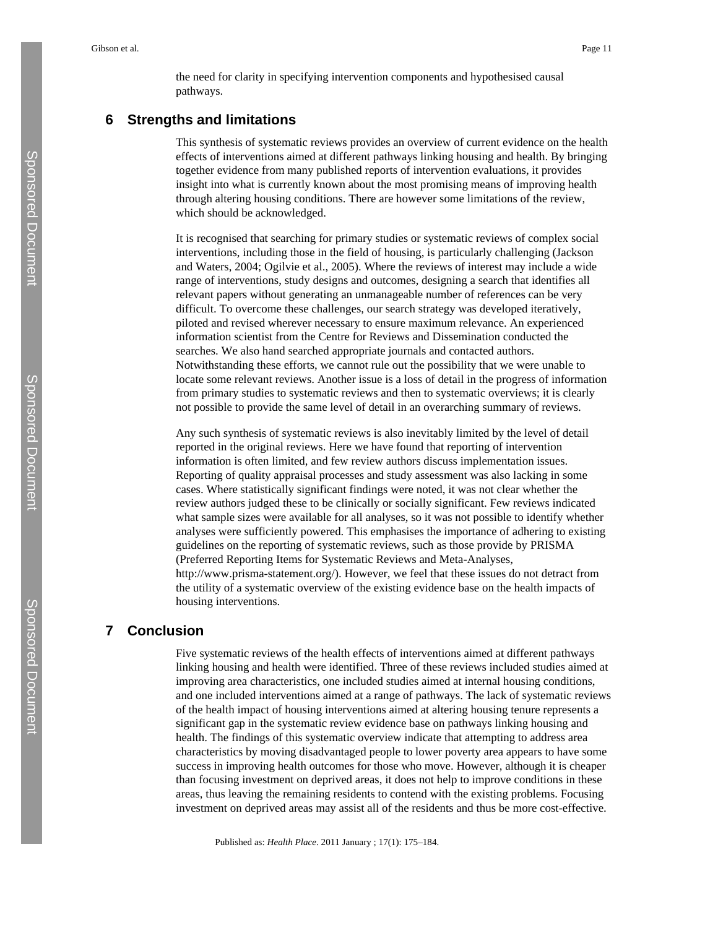the need for clarity in specifying intervention components and hypothesised causal pathways.

# **6 Strengths and limitations**

This synthesis of systematic reviews provides an overview of current evidence on the health effects of interventions aimed at different pathways linking housing and health. By bringing together evidence from many published reports of intervention evaluations, it provides insight into what is currently known about the most promising means of improving health through altering housing conditions. There are however some limitations of the review, which should be acknowledged.

It is recognised that searching for primary studies or systematic reviews of complex social interventions, including those in the field of housing, is particularly challenging (Jackson and Waters, 2004; Ogilvie et al., 2005). Where the reviews of interest may include a wide range of interventions, study designs and outcomes, designing a search that identifies all relevant papers without generating an unmanageable number of references can be very difficult. To overcome these challenges, our search strategy was developed iteratively, piloted and revised wherever necessary to ensure maximum relevance. An experienced information scientist from the Centre for Reviews and Dissemination conducted the searches. We also hand searched appropriate journals and contacted authors. Notwithstanding these efforts, we cannot rule out the possibility that we were unable to locate some relevant reviews. Another issue is a loss of detail in the progress of information from primary studies to systematic reviews and then to systematic overviews; it is clearly not possible to provide the same level of detail in an overarching summary of reviews.

Any such synthesis of systematic reviews is also inevitably limited by the level of detail reported in the original reviews. Here we have found that reporting of intervention information is often limited, and few review authors discuss implementation issues. Reporting of quality appraisal processes and study assessment was also lacking in some cases. Where statistically significant findings were noted, it was not clear whether the review authors judged these to be clinically or socially significant. Few reviews indicated what sample sizes were available for all analyses, so it was not possible to identify whether analyses were sufficiently powered. This emphasises the importance of adhering to existing guidelines on the reporting of systematic reviews, such as those provide by PRISMA (Preferred Reporting Items for Systematic Reviews and Meta-Analyses, [http://www.prisma-statement.org/\)](http://www.prisma-statement.org/). However, we feel that these issues do not detract from the utility of a systematic overview of the existing evidence base on the health impacts of housing interventions.

## **7 Conclusion**

Five systematic reviews of the health effects of interventions aimed at different pathways linking housing and health were identified. Three of these reviews included studies aimed at improving area characteristics, one included studies aimed at internal housing conditions, and one included interventions aimed at a range of pathways. The lack of systematic reviews of the health impact of housing interventions aimed at altering housing tenure represents a significant gap in the systematic review evidence base on pathways linking housing and health. The findings of this systematic overview indicate that attempting to address area characteristics by moving disadvantaged people to lower poverty area appears to have some success in improving health outcomes for those who move. However, although it is cheaper than focusing investment on deprived areas, it does not help to improve conditions in these areas, thus leaving the remaining residents to contend with the existing problems. Focusing investment on deprived areas may assist all of the residents and thus be more cost-effective.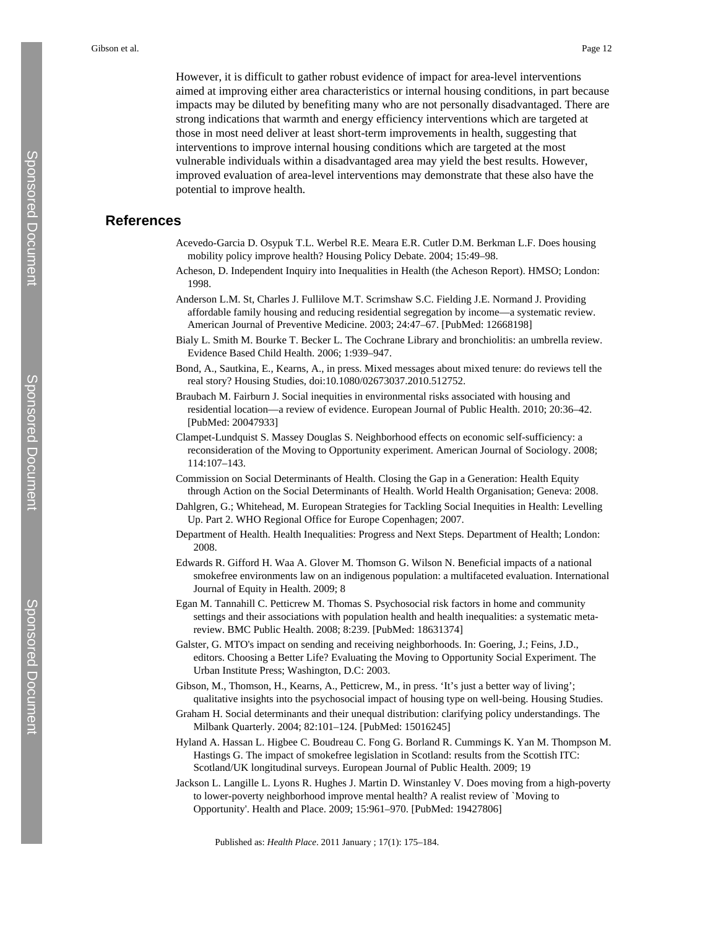However, it is difficult to gather robust evidence of impact for area-level interventions aimed at improving either area characteristics or internal housing conditions, in part because impacts may be diluted by benefiting many who are not personally disadvantaged. There are strong indications that warmth and energy efficiency interventions which are targeted at those in most need deliver at least short-term improvements in health, suggesting that interventions to improve internal housing conditions which are targeted at the most vulnerable individuals within a disadvantaged area may yield the best results. However, improved evaluation of area-level interventions may demonstrate that these also have the potential to improve health.

## **References**

- Acevedo-Garcia D. Osypuk T.L. Werbel R.E. Meara E.R. Cutler D.M. Berkman L.F. Does housing mobility policy improve health? Housing Policy Debate. 2004; 15:49–98.
- Acheson, D. Independent Inquiry into Inequalities in Health (the Acheson Report). HMSO; London: 1998.
- Anderson L.M. St, Charles J. Fullilove M.T. Scrimshaw S.C. Fielding J.E. Normand J. Providing affordable family housing and reducing residential segregation by income—a systematic review. American Journal of Preventive Medicine. 2003; 24:47–67. [PubMed: 12668198]
- Bialy L. Smith M. Bourke T. Becker L. The Cochrane Library and bronchiolitis: an umbrella review. Evidence Based Child Health. 2006; 1:939–947.
- Bond, A., Sautkina, E., Kearns, A., in press. Mixed messages about mixed tenure: do reviews tell the real story? Housing Studies, doi:10.1080/02673037.2010.512752.
- Braubach M. Fairburn J. Social inequities in environmental risks associated with housing and residential location—a review of evidence. European Journal of Public Health. 2010; 20:36–42. [PubMed: 20047933]
- Clampet-Lundquist S. Massey Douglas S. Neighborhood effects on economic self-sufficiency: a reconsideration of the Moving to Opportunity experiment. American Journal of Sociology. 2008; 114:107–143.
- Commission on Social Determinants of Health. Closing the Gap in a Generation: Health Equity through Action on the Social Determinants of Health. World Health Organisation; Geneva: 2008.
- Dahlgren, G.; Whitehead, M. European Strategies for Tackling Social Inequities in Health: Levelling Up. Part 2. WHO Regional Office for Europe Copenhagen; 2007.
- Department of Health. Health Inequalities: Progress and Next Steps. Department of Health; London: 2008.
- Edwards R. Gifford H. Waa A. Glover M. Thomson G. Wilson N. Beneficial impacts of a national smokefree environments law on an indigenous population: a multifaceted evaluation. International Journal of Equity in Health. 2009; 8
- Egan M. Tannahill C. Petticrew M. Thomas S. Psychosocial risk factors in home and community settings and their associations with population health and health inequalities: a systematic metareview. BMC Public Health. 2008; 8:239. [PubMed: 18631374]
- Galster, G. MTO's impact on sending and receiving neighborhoods. In: Goering, J.; Feins, J.D., editors. Choosing a Better Life? Evaluating the Moving to Opportunity Social Experiment. The Urban Institute Press; Washington, D.C: 2003.
- Gibson, M., Thomson, H., Kearns, A., Petticrew, M., in press. 'It's just a better way of living'; qualitative insights into the psychosocial impact of housing type on well-being. Housing Studies.
- Graham H. Social determinants and their unequal distribution: clarifying policy understandings. The Milbank Quarterly. 2004; 82:101–124. [PubMed: 15016245]
- Hyland A. Hassan L. Higbee C. Boudreau C. Fong G. Borland R. Cummings K. Yan M. Thompson M. Hastings G. The impact of smokefree legislation in Scotland: results from the Scottish ITC: Scotland/UK longitudinal surveys. European Journal of Public Health. 2009; 19
- Jackson L. Langille L. Lyons R. Hughes J. Martin D. Winstanley V. Does moving from a high-poverty to lower-poverty neighborhood improve mental health? A realist review of `Moving to Opportunity'. Health and Place. 2009; 15:961–970. [PubMed: 19427806]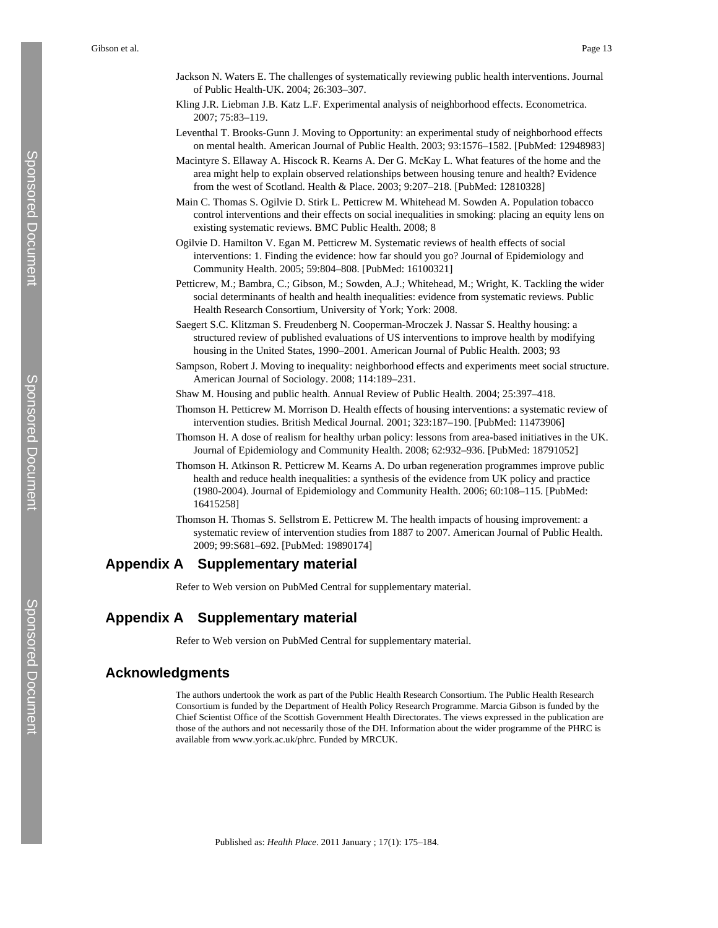- Jackson N. Waters E. The challenges of systematically reviewing public health interventions. Journal of Public Health-UK. 2004; 26:303–307.
- Kling J.R. Liebman J.B. Katz L.F. Experimental analysis of neighborhood effects. Econometrica. 2007; 75:83–119.
- Leventhal T. Brooks-Gunn J. Moving to Opportunity: an experimental study of neighborhood effects on mental health. American Journal of Public Health. 2003; 93:1576–1582. [PubMed: 12948983]
- Macintyre S. Ellaway A. Hiscock R. Kearns A. Der G. McKay L. What features of the home and the area might help to explain observed relationships between housing tenure and health? Evidence from the west of Scotland. Health & Place. 2003; 9:207–218. [PubMed: 12810328]
- Main C. Thomas S. Ogilvie D. Stirk L. Petticrew M. Whitehead M. Sowden A. Population tobacco control interventions and their effects on social inequalities in smoking: placing an equity lens on existing systematic reviews. BMC Public Health. 2008; 8
- Ogilvie D. Hamilton V. Egan M. Petticrew M. Systematic reviews of health effects of social interventions: 1. Finding the evidence: how far should you go? Journal of Epidemiology and Community Health. 2005; 59:804–808. [PubMed: 16100321]
- Petticrew, M.; Bambra, C.; Gibson, M.; Sowden, A.J.; Whitehead, M.; Wright, K. Tackling the wider social determinants of health and health inequalities: evidence from systematic reviews. Public Health Research Consortium, University of York; York: 2008.
- Saegert S.C. Klitzman S. Freudenberg N. Cooperman-Mroczek J. Nassar S. Healthy housing: a structured review of published evaluations of US interventions to improve health by modifying housing in the United States, 1990–2001. American Journal of Public Health. 2003; 93
- Sampson, Robert J. Moving to inequality: neighborhood effects and experiments meet social structure. American Journal of Sociology. 2008; 114:189–231.
- Shaw M. Housing and public health. Annual Review of Public Health. 2004; 25:397–418.
- Thomson H. Petticrew M. Morrison D. Health effects of housing interventions: a systematic review of intervention studies. British Medical Journal. 2001; 323:187–190. [PubMed: 11473906]
- Thomson H. A dose of realism for healthy urban policy: lessons from area-based initiatives in the UK. Journal of Epidemiology and Community Health. 2008; 62:932–936. [PubMed: 18791052]
- Thomson H. Atkinson R. Petticrew M. Kearns A. Do urban regeneration programmes improve public health and reduce health inequalities: a synthesis of the evidence from UK policy and practice (1980-2004). Journal of Epidemiology and Community Health. 2006; 60:108–115. [PubMed: 16415258]
- Thomson H. Thomas S. Sellstrom E. Petticrew M. The health impacts of housing improvement: a systematic review of intervention studies from 1887 to 2007. American Journal of Public Health. 2009; 99:S681–692. [PubMed: 19890174]

# **Appendix A Supplementary material**

Refer to Web version on PubMed Central for supplementary material.

# **Appendix A Supplementary material**

Refer to Web version on PubMed Central for supplementary material.

# **Acknowledgments**

The authors undertook the work as part of the Public Health Research Consortium. The Public Health Research Consortium is funded by the Department of Health Policy Research Programme. Marcia Gibson is funded by the Chief Scientist Office of the Scottish Government Health Directorates. The views expressed in the publication are those of the authors and not necessarily those of the DH. Information about the wider programme of the PHRC is available from [www.york.ac.uk/phrc.](http://www.york.ac.uk/phrc) Funded by MRCUK.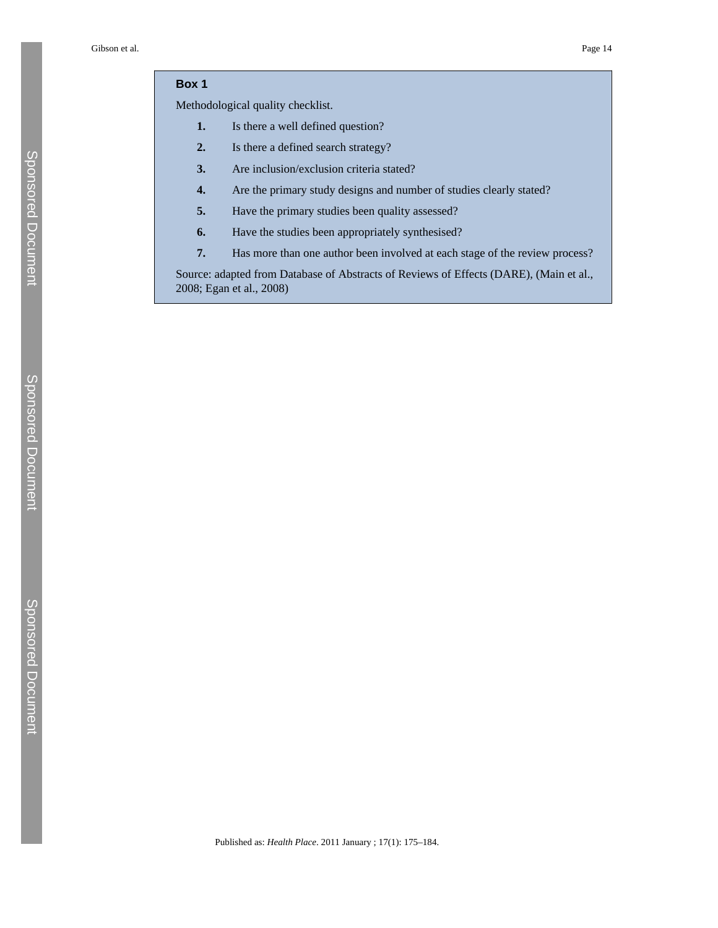# **Box 1**

Methodological quality checklist.

- **1.** Is there a well defined question?
- **2.** Is there a defined search strategy?
- **3.** Are inclusion/exclusion criteria stated?
- **4.** Are the primary study designs and number of studies clearly stated?
- **5.** Have the primary studies been quality assessed?
- **6.** Have the studies been appropriately synthesised?
- **7.** Has more than one author been involved at each stage of the review process?

Source: adapted from Database of Abstracts of Reviews of Effects (DARE), (Main et al., 2008; Egan et al., 2008)

Sponsored Document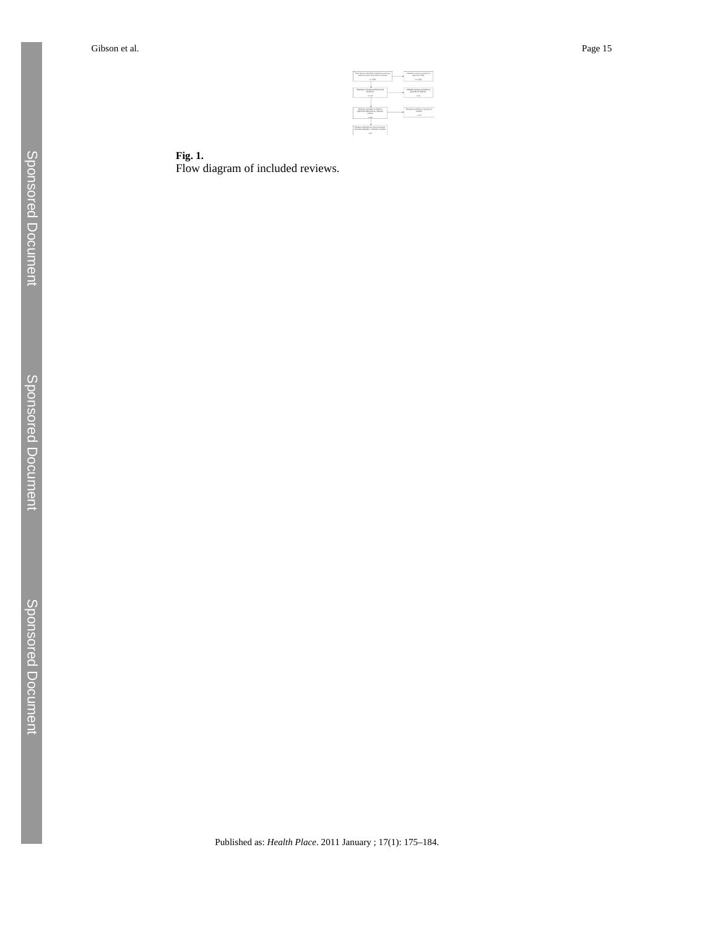

**Fig. 1.** Flow diagram of included reviews.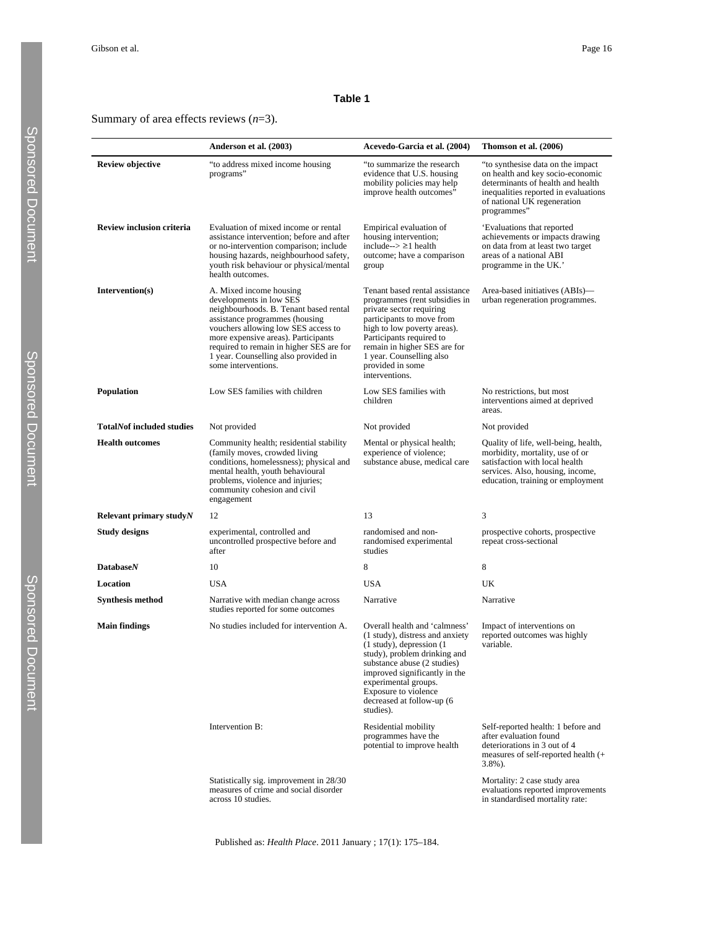#### **Table 1**

Summary of area effects reviews (*n*=3).

|                                  | Anderson et al. (2003)                                                                                                                                                                                                                                                                                                  | Acevedo-Garcia et al. (2004)                                                                                                                                                                                                                                                                | Thomson et al. (2006)                                                                                                                                                                             |
|----------------------------------|-------------------------------------------------------------------------------------------------------------------------------------------------------------------------------------------------------------------------------------------------------------------------------------------------------------------------|---------------------------------------------------------------------------------------------------------------------------------------------------------------------------------------------------------------------------------------------------------------------------------------------|---------------------------------------------------------------------------------------------------------------------------------------------------------------------------------------------------|
| <b>Review objective</b>          | "to address mixed income housing<br>programs"                                                                                                                                                                                                                                                                           | "to summarize the research<br>evidence that U.S. housing<br>mobility policies may help<br>improve health outcomes"                                                                                                                                                                          | "to synthesise data on the impact"<br>on health and key socio-economic<br>determinants of health and health<br>inequalities reported in evaluations<br>of national UK regeneration<br>programmes" |
| Review inclusion criteria        | Evaluation of mixed income or rental<br>assistance intervention; before and after<br>or no-intervention comparison; include<br>housing hazards, neighbourhood safety,<br>youth risk behaviour or physical/mental<br>health outcomes.                                                                                    | Empirical evaluation of<br>housing intervention;<br>include- $\geq$ 21 health<br>outcome; have a comparison<br>group                                                                                                                                                                        | 'Evaluations that reported<br>achievements or impacts drawing<br>on data from at least two target<br>areas of a national ABI<br>programme in the UK.'                                             |
| Intervention(s)                  | A. Mixed income housing<br>developments in low SES<br>neighbourhoods. B. Tenant based rental<br>assistance programmes (housing<br>vouchers allowing low SES access to<br>more expensive areas). Participants<br>required to remain in higher SES are for<br>1 year. Counselling also provided in<br>some interventions. | Tenant based rental assistance<br>programmes (rent subsidies in<br>private sector requiring<br>participants to move from<br>high to low poverty areas).<br>Participants required to<br>remain in higher SES are for<br>1 year. Counselling also<br>provided in some<br>interventions.       | Area-based initiatives (ABIs)—<br>urban regeneration programmes.                                                                                                                                  |
| <b>Population</b>                | Low SES families with children                                                                                                                                                                                                                                                                                          | Low SES families with<br>children                                                                                                                                                                                                                                                           | No restrictions, but most<br>interventions aimed at deprived<br>areas.                                                                                                                            |
| <b>TotalNof included studies</b> | Not provided                                                                                                                                                                                                                                                                                                            | Not provided                                                                                                                                                                                                                                                                                | Not provided                                                                                                                                                                                      |
| <b>Health outcomes</b>           | Community health; residential stability<br>(family moves, crowded living<br>conditions, homelessness); physical and<br>mental health, youth behavioural<br>problems, violence and injuries;<br>community cohesion and civil<br>engagement                                                                               | Mental or physical health;<br>experience of violence;<br>substance abuse, medical care                                                                                                                                                                                                      | Quality of life, well-being, health,<br>morbidity, mortality, use of or<br>satisfaction with local health<br>services. Also, housing, income,<br>education, training or employment                |
| Relevant primary study N         | 12                                                                                                                                                                                                                                                                                                                      | 13                                                                                                                                                                                                                                                                                          | 3                                                                                                                                                                                                 |
| <b>Study designs</b>             | experimental, controlled and<br>uncontrolled prospective before and<br>after                                                                                                                                                                                                                                            | randomised and non-<br>randomised experimental<br>studies                                                                                                                                                                                                                                   | prospective cohorts, prospective<br>repeat cross-sectional                                                                                                                                        |
| <b>Database</b> N                | 10                                                                                                                                                                                                                                                                                                                      | 8                                                                                                                                                                                                                                                                                           | 8                                                                                                                                                                                                 |
| Location                         | <b>USA</b>                                                                                                                                                                                                                                                                                                              | <b>USA</b>                                                                                                                                                                                                                                                                                  | UK                                                                                                                                                                                                |
| <b>Synthesis method</b>          | Narrative with median change across<br>studies reported for some outcomes                                                                                                                                                                                                                                               | Narrative                                                                                                                                                                                                                                                                                   | Narrative                                                                                                                                                                                         |
| <b>Main findings</b>             | No studies included for intervention A.                                                                                                                                                                                                                                                                                 | Overall health and 'calmness'<br>(1 study), distress and anxiety<br>$(1$ study), depression $(1)$<br>study), problem drinking and<br>substance abuse (2 studies)<br>improved significantly in the<br>experimental groups.<br>Exposure to violence<br>decreased at follow-up (6<br>studies). | Impact of interventions on<br>reported outcomes was highly<br>variable.                                                                                                                           |
|                                  | Intervention B:                                                                                                                                                                                                                                                                                                         | Residential mobility<br>programmes have the<br>potential to improve health                                                                                                                                                                                                                  | Self-reported health: 1 before and<br>after evaluation found<br>deteriorations in 3 out of 4<br>measures of self-reported health (+<br>3.8%).                                                     |
|                                  | Statistically sig. improvement in 28/30<br>measures of crime and social disorder<br>across 10 studies.                                                                                                                                                                                                                  |                                                                                                                                                                                                                                                                                             | Mortality: 2 case study area<br>evaluations reported improvements<br>in standardised mortality rate:                                                                                              |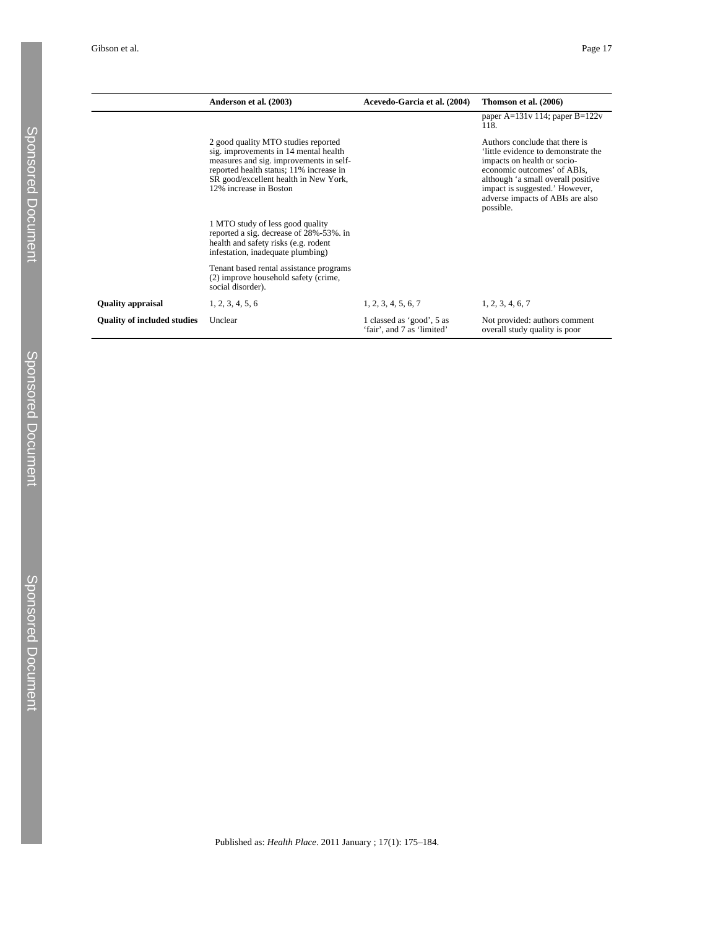|                                    | Anderson et al. (2003)                                                                                                                                                                                                                | Acevedo-Garcia et al. (2004)                            | Thomson et al. (2006)                                                                                                                                                                                                                                       |
|------------------------------------|---------------------------------------------------------------------------------------------------------------------------------------------------------------------------------------------------------------------------------------|---------------------------------------------------------|-------------------------------------------------------------------------------------------------------------------------------------------------------------------------------------------------------------------------------------------------------------|
|                                    |                                                                                                                                                                                                                                       |                                                         | paper A= $131v$ 114; paper B= $122v$<br>118.                                                                                                                                                                                                                |
|                                    | 2 good quality MTO studies reported<br>sig. improvements in 14 mental health<br>measures and sig. improvements in self-<br>reported health status; 11% increase in<br>SR good/excellent health in New York,<br>12% increase in Boston |                                                         | Authors conclude that there is<br>little evidence to demonstrate the<br>impacts on health or socio-<br>economic outcomes' of ABIs,<br>although 'a small overall positive<br>impact is suggested.' However,<br>adverse impacts of ABIs are also<br>possible. |
|                                    | 1 MTO study of less good quality<br>reported a sig. decrease of 28%-53%. in<br>health and safety risks (e.g. rodent<br>infestation, inadequate plumbing)                                                                              |                                                         |                                                                                                                                                                                                                                                             |
|                                    | Tenant based rental assistance programs<br>(2) improve household safety (crime,<br>social disorder).                                                                                                                                  |                                                         |                                                                                                                                                                                                                                                             |
| <b>Quality appraisal</b>           | 1, 2, 3, 4, 5, 6                                                                                                                                                                                                                      | 1, 2, 3, 4, 5, 6, 7                                     | 1, 2, 3, 4, 6, 7                                                                                                                                                                                                                                            |
| <b>Quality of included studies</b> | Unclear                                                                                                                                                                                                                               | 1 classed as 'good', 5 as<br>'fair', and 7 as 'limited' | Not provided: authors comment<br>overall study quality is poor                                                                                                                                                                                              |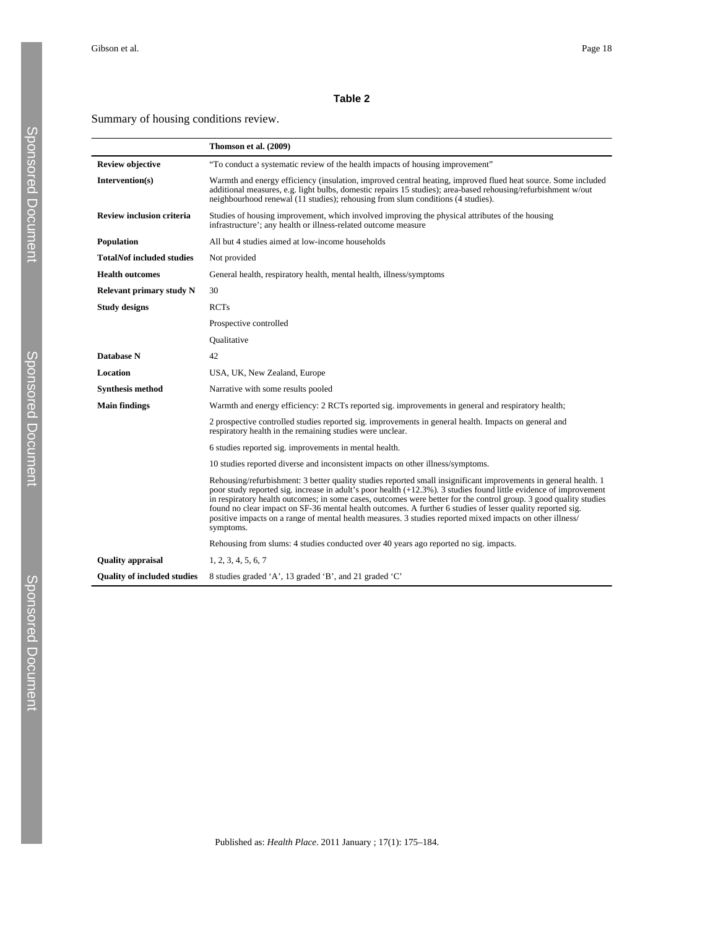#### **Table 2**

Summary of housing conditions review.

|                                    | Thomson et al. (2009)                                                                                                                                                                                                                                                                                                                                                                                                                                                                                                                                                                              |
|------------------------------------|----------------------------------------------------------------------------------------------------------------------------------------------------------------------------------------------------------------------------------------------------------------------------------------------------------------------------------------------------------------------------------------------------------------------------------------------------------------------------------------------------------------------------------------------------------------------------------------------------|
| <b>Review objective</b>            | "To conduct a systematic review of the health impacts of housing improvement"                                                                                                                                                                                                                                                                                                                                                                                                                                                                                                                      |
| Intervention(s)                    | Warmth and energy efficiency (insulation, improved central heating, improved flued heat source. Some included<br>additional measures, e.g. light bulbs, domestic repairs 15 studies); area-based rehousing/refurbishment w/out<br>neighbourhood renewal (11 studies); rehousing from slum conditions (4 studies).                                                                                                                                                                                                                                                                                  |
| <b>Review inclusion criteria</b>   | Studies of housing improvement, which involved improving the physical attributes of the housing<br>infrastructure'; any health or illness-related outcome measure                                                                                                                                                                                                                                                                                                                                                                                                                                  |
| Population                         | All but 4 studies aimed at low-income households                                                                                                                                                                                                                                                                                                                                                                                                                                                                                                                                                   |
| <b>TotalNof included studies</b>   | Not provided                                                                                                                                                                                                                                                                                                                                                                                                                                                                                                                                                                                       |
| <b>Health outcomes</b>             | General health, respiratory health, mental health, illness/symptoms                                                                                                                                                                                                                                                                                                                                                                                                                                                                                                                                |
| <b>Relevant primary study N</b>    | 30                                                                                                                                                                                                                                                                                                                                                                                                                                                                                                                                                                                                 |
| <b>Study designs</b>               | <b>RCTs</b>                                                                                                                                                                                                                                                                                                                                                                                                                                                                                                                                                                                        |
|                                    | Prospective controlled                                                                                                                                                                                                                                                                                                                                                                                                                                                                                                                                                                             |
|                                    | <b>Qualitative</b>                                                                                                                                                                                                                                                                                                                                                                                                                                                                                                                                                                                 |
| Database N                         | 42                                                                                                                                                                                                                                                                                                                                                                                                                                                                                                                                                                                                 |
| Location                           | USA, UK, New Zealand, Europe                                                                                                                                                                                                                                                                                                                                                                                                                                                                                                                                                                       |
| <b>Synthesis method</b>            | Narrative with some results pooled                                                                                                                                                                                                                                                                                                                                                                                                                                                                                                                                                                 |
| <b>Main findings</b>               | Warmth and energy efficiency: 2 RCTs reported sig. improvements in general and respiratory health;                                                                                                                                                                                                                                                                                                                                                                                                                                                                                                 |
|                                    | 2 prospective controlled studies reported sig. improvements in general health. Impacts on general and<br>respiratory health in the remaining studies were unclear.                                                                                                                                                                                                                                                                                                                                                                                                                                 |
|                                    | 6 studies reported sig. improvements in mental health.                                                                                                                                                                                                                                                                                                                                                                                                                                                                                                                                             |
|                                    | 10 studies reported diverse and inconsistent impacts on other illness/symptoms.                                                                                                                                                                                                                                                                                                                                                                                                                                                                                                                    |
|                                    | Rehousing/refurbishment: 3 better quality studies reported small insignificant improvements in general health. 1<br>poor study reported sig. increase in adult's poor health (+12.3%). 3 studies found little evidence of improvement<br>in respiratory health outcomes; in some cases, outcomes were better for the control group. 3 good quality studies<br>found no clear impact on SF-36 mental health outcomes. A further 6 studies of lesser quality reported sig.<br>positive impacts on a range of mental health measures. 3 studies reported mixed impacts on other illness/<br>symptoms. |
|                                    | Rehousing from slums: 4 studies conducted over 40 years ago reported no sig. impacts.                                                                                                                                                                                                                                                                                                                                                                                                                                                                                                              |
| <b>Quality</b> appraisal           | 1, 2, 3, 4, 5, 6, 7                                                                                                                                                                                                                                                                                                                                                                                                                                                                                                                                                                                |
| <b>Ouality of included studies</b> | 8 studies graded 'A', 13 graded 'B', and 21 graded 'C'                                                                                                                                                                                                                                                                                                                                                                                                                                                                                                                                             |